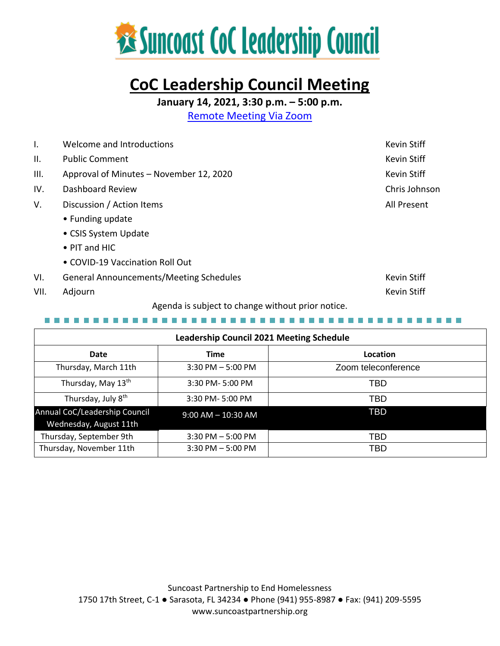

# **CoC Leadership Council Meeting**

**January 14, 2021, 3:30 p.m. – 5:00 p.m.**

[Remote Meeting Via Zoom](https://us02web.zoom.us/j/81906016605?pwd=L2RLYXVvbHREY0dUd3I3NUxVUXlNUT09)

| $\mathsf{l}$ .                                    | Welcome and Introductions                      | <b>Kevin Stiff</b> |  |
|---------------------------------------------------|------------------------------------------------|--------------------|--|
| II.                                               | <b>Public Comment</b>                          | Kevin Stiff        |  |
| III.                                              | Approval of Minutes - November 12, 2020        | <b>Kevin Stiff</b> |  |
| IV.                                               | Dashboard Review                               | Chris Johnson      |  |
| V.                                                | Discussion / Action Items                      | All Present        |  |
|                                                   | • Funding update                               |                    |  |
|                                                   | • CSIS System Update                           |                    |  |
|                                                   | $\bullet$ PIT and HIC                          |                    |  |
|                                                   | • COVID-19 Vaccination Roll Out                |                    |  |
| VI.                                               | <b>General Announcements/Meeting Schedules</b> | Kevin Stiff        |  |
| VII.                                              | Adjourn                                        | Kevin Stiff        |  |
| Agenda is subject to change without prior notice. |                                                |                    |  |

| Leadership Council 2021 Meeting Schedule                |                        |                     |  |  |  |
|---------------------------------------------------------|------------------------|---------------------|--|--|--|
| Date                                                    | <b>Time</b>            | Location            |  |  |  |
| Thursday, March 11th                                    | $3:30$ PM $-5:00$ PM   | Zoom teleconference |  |  |  |
| Thursday, May 13 <sup>th</sup>                          | 3:30 PM-5:00 PM        | TBD                 |  |  |  |
| Thursday, July 8 <sup>th</sup>                          | 3:30 PM-5:00 PM        | <b>TBD</b>          |  |  |  |
| Annual CoC/Leadership Council<br>Wednesday, August 11th | $9:00$ AM $- 10:30$ AM | <b>TBD</b>          |  |  |  |
| Thursday, September 9th                                 | $3:30$ PM $-5:00$ PM   | <b>TBD</b>          |  |  |  |
| Thursday, November 11th                                 | $3:30$ PM $-5:00$ PM   | <b>TBD</b>          |  |  |  |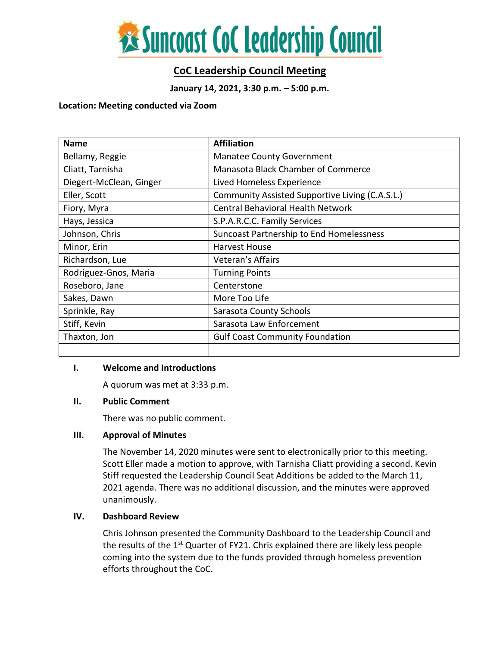

# **CoC Leadership Council Meeting**

**January 14, 2021, 3:30 p.m. – 5:00 p.m.**

#### **Location: Meeting conducted via Zoom**

| <b>Name</b>             | <b>Affiliation</b>                              |  |  |
|-------------------------|-------------------------------------------------|--|--|
| Bellamy, Reggie         | <b>Manatee County Government</b>                |  |  |
| Cliatt, Tarnisha        | Manasota Black Chamber of Commerce              |  |  |
| Diegert-McClean, Ginger | Lived Homeless Experience                       |  |  |
| Eller, Scott            | Community Assisted Supportive Living (C.A.S.L.) |  |  |
| Fiory, Myra             | <b>Central Behavioral Health Network</b>        |  |  |
| Hays, Jessica           | S.P.A.R.C.C. Family Services                    |  |  |
| Johnson, Chris          | Suncoast Partnership to End Homelessness        |  |  |
| Minor, Erin             | Harvest House                                   |  |  |
| Richardson, Lue         | Veteran's Affairs                               |  |  |
| Rodriguez-Gnos, Maria   | <b>Turning Points</b>                           |  |  |
| Roseboro, Jane          | Centerstone                                     |  |  |
| Sakes, Dawn             | More Too Life                                   |  |  |
| Sprinkle, Ray           | Sarasota County Schools                         |  |  |
| Stiff, Kevin            | Sarasota Law Enforcement                        |  |  |
| Thaxton, Jon            | <b>Gulf Coast Community Foundation</b>          |  |  |
|                         |                                                 |  |  |

## **I. Welcome and Introductions**

A quorum was met at 3:33 p.m.

## **II. Public Comment**

There was no public comment.

## **III. Approval of Minutes**

The November 14, 2020 minutes were sent to electronically prior to this meeting. Scott Eller made a motion to approve, with Tarnisha Cliatt providing a second. Kevin Stiff requested the Leadership Council Seat Additions be added to the March 11, 2021 agenda. There was no additional discussion, and the minutes were approved unanimously.

# **IV. Dashboard Review**

Chris Johnson presented the Community Dashboard to the Leadership Council and the results of the  $1<sup>st</sup>$  Quarter of FY21. Chris explained there are likely less people coming into the system due to the funds provided through homeless prevention efforts throughout the CoC.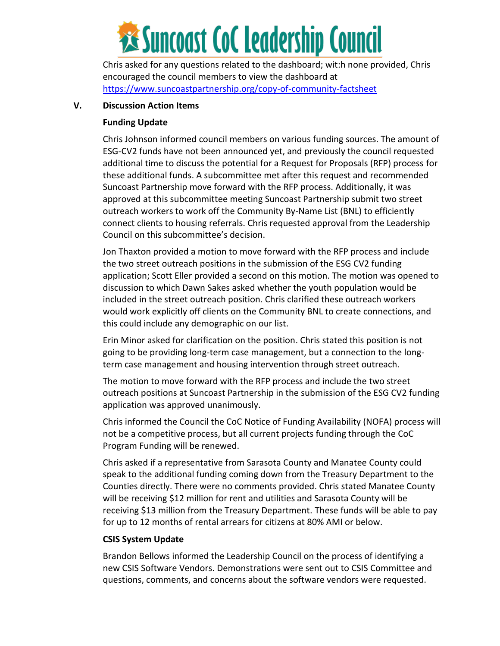

Chris asked for any questions related to the dashboard; wit:h none provided, Chris encouraged the council members to view the dashboard at <https://www.suncoastpartnership.org/copy-of-community-factsheet>

# **V. Discussion Action Items**

# **Funding Update**

Chris Johnson informed council members on various funding sources. The amount of ESG-CV2 funds have not been announced yet, and previously the council requested additional time to discuss the potential for a Request for Proposals (RFP) process for these additional funds. A subcommittee met after this request and recommended Suncoast Partnership move forward with the RFP process. Additionally, it was approved at this subcommittee meeting Suncoast Partnership submit two street outreach workers to work off the Community By-Name List (BNL) to efficiently connect clients to housing referrals. Chris requested approval from the Leadership Council on this subcommittee's decision.

Jon Thaxton provided a motion to move forward with the RFP process and include the two street outreach positions in the submission of the ESG CV2 funding application; Scott Eller provided a second on this motion. The motion was opened to discussion to which Dawn Sakes asked whether the youth population would be included in the street outreach position. Chris clarified these outreach workers would work explicitly off clients on the Community BNL to create connections, and this could include any demographic on our list.

Erin Minor asked for clarification on the position. Chris stated this position is not going to be providing long-term case management, but a connection to the longterm case management and housing intervention through street outreach.

The motion to move forward with the RFP process and include the two street outreach positions at Suncoast Partnership in the submission of the ESG CV2 funding application was approved unanimously.

Chris informed the Council the CoC Notice of Funding Availability (NOFA) process will not be a competitive process, but all current projects funding through the CoC Program Funding will be renewed.

Chris asked if a representative from Sarasota County and Manatee County could speak to the additional funding coming down from the Treasury Department to the Counties directly. There were no comments provided. Chris stated Manatee County will be receiving \$12 million for rent and utilities and Sarasota County will be receiving \$13 million from the Treasury Department. These funds will be able to pay for up to 12 months of rental arrears for citizens at 80% AMI or below.

# **CSIS System Update**

Brandon Bellows informed the Leadership Council on the process of identifying a new CSIS Software Vendors. Demonstrations were sent out to CSIS Committee and questions, comments, and concerns about the software vendors were requested.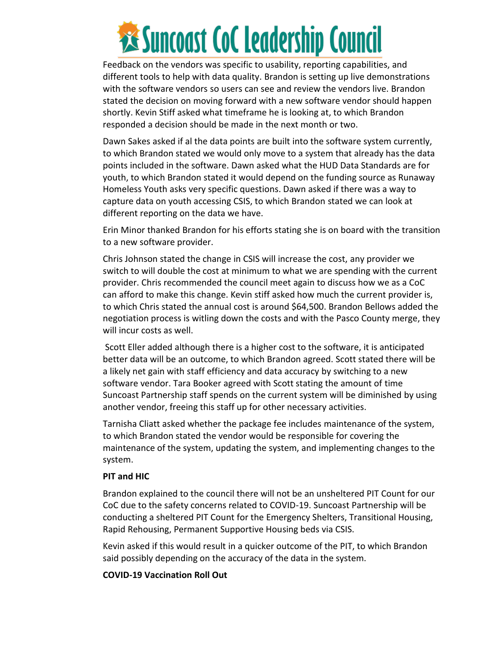

Feedback on the vendors was specific to usability, reporting capabilities, and different tools to help with data quality. Brandon is setting up live demonstrations with the software vendors so users can see and review the vendors live. Brandon stated the decision on moving forward with a new software vendor should happen shortly. Kevin Stiff asked what timeframe he is looking at, to which Brandon responded a decision should be made in the next month or two.

Dawn Sakes asked if al the data points are built into the software system currently, to which Brandon stated we would only move to a system that already has the data points included in the software. Dawn asked what the HUD Data Standards are for youth, to which Brandon stated it would depend on the funding source as Runaway Homeless Youth asks very specific questions. Dawn asked if there was a way to capture data on youth accessing CSIS, to which Brandon stated we can look at different reporting on the data we have.

Erin Minor thanked Brandon for his efforts stating she is on board with the transition to a new software provider.

Chris Johnson stated the change in CSIS will increase the cost, any provider we switch to will double the cost at minimum to what we are spending with the current provider. Chris recommended the council meet again to discuss how we as a CoC can afford to make this change. Kevin stiff asked how much the current provider is, to which Chris stated the annual cost is around \$64,500. Brandon Bellows added the negotiation process is witling down the costs and with the Pasco County merge, they will incur costs as well.

Scott Eller added although there is a higher cost to the software, it is anticipated better data will be an outcome, to which Brandon agreed. Scott stated there will be a likely net gain with staff efficiency and data accuracy by switching to a new software vendor. Tara Booker agreed with Scott stating the amount of time Suncoast Partnership staff spends on the current system will be diminished by using another vendor, freeing this staff up for other necessary activities.

Tarnisha Cliatt asked whether the package fee includes maintenance of the system, to which Brandon stated the vendor would be responsible for covering the maintenance of the system, updating the system, and implementing changes to the system.

## **PIT and HIC**

Brandon explained to the council there will not be an unsheltered PIT Count for our CoC due to the safety concerns related to COVID-19. Suncoast Partnership will be conducting a sheltered PIT Count for the Emergency Shelters, Transitional Housing, Rapid Rehousing, Permanent Supportive Housing beds via CSIS.

Kevin asked if this would result in a quicker outcome of the PIT, to which Brandon said possibly depending on the accuracy of the data in the system.

## **COVID-19 Vaccination Roll Out**